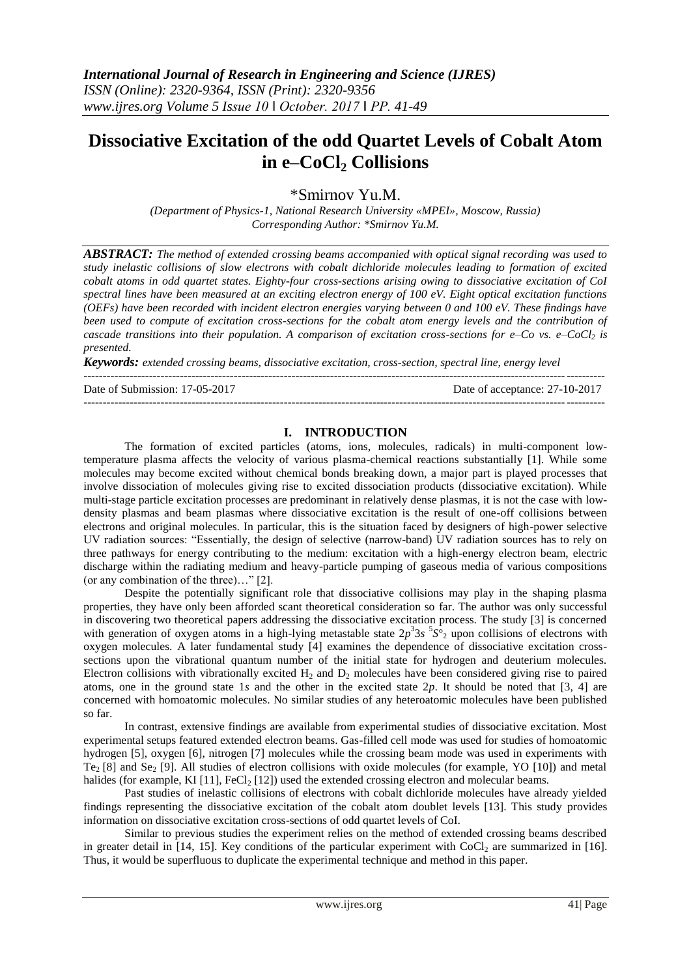# **Dissociative Excitation of the odd Quartet Levels of Cobalt Atom in e–CoCl<sup>2</sup> Collisions**

\*Smirnov Yu.M.

*(Department of Physics-1, National Research University «MPEI», Moscow, Russia) Corresponding Author: \*Smirnov Yu.M.*

*ABSTRACT: The method of extended crossing beams accompanied with optical signal recording was used to study inelastic collisions of slow electrons with cobalt dichloride molecules leading to formation of excited cobalt atoms in odd quartet states. Eighty-four cross-sections arising owing to dissociative excitation of CoI spectral lines have been measured at an exciting electron energy of 100 eV. Eight optical excitation functions (OEFs) have been recorded with incident electron energies varying between 0 and 100 eV. These findings have been used to compute of excitation cross-sections for the cobalt atom energy levels and the contribution of cascade transitions into their population. A comparison of excitation cross-sections for e–Co vs. e–CoCl<sup>2</sup> is presented.*

*Keywords: extended crossing beams, dissociative excitation, cross-section, spectral line, energy level* ---------------------------------------------------------------------------------------------------------------------------------------

Date of Submission: 17-05-2017 Date of acceptance: 27-10-2017

---------------------------------------------------------------------------------------------------------------------------------------

## **I. INTRODUCTION**

The formation of excited particles (atoms, ions, molecules, radicals) in multi-component lowtemperature plasma affects the velocity of various plasma-chemical reactions substantially [1]. While some molecules may become excited without chemical bonds breaking down, a major part is played processes that involve dissociation of molecules giving rise to excited dissociation products (dissociative excitation). While multi-stage particle excitation processes are predominant in relatively dense plasmas, it is not the case with lowdensity plasmas and beam plasmas where dissociative excitation is the result of one-off collisions between electrons and original molecules. In particular, this is the situation faced by designers of high-power selective UV radiation sources: "Essentially, the design of selective (narrow-band) UV radiation sources has to rely on three pathways for energy contributing to the medium: excitation with a high-energy electron beam, electric discharge within the radiating medium and heavy-particle pumping of gaseous media of various compositions (or any combination of the three)…" [2].

Despite the potentially significant role that dissociative collisions may play in the shaping plasma properties, they have only been afforded scant theoretical consideration so far. The author was only successful in discovering two theoretical papers addressing the dissociative excitation process. The study [3] is concerned with generation of oxygen atoms in a high-lying metastable state  $2p^33s^5S_2$  upon collisions of electrons with oxygen molecules. A later fundamental study [4] examines the dependence of dissociative excitation crosssections upon the vibrational quantum number of the initial state for hydrogen and deuterium molecules. Electron collisions with vibrationally excited  $H_2$  and  $D_2$  molecules have been considered giving rise to paired atoms, one in the ground state 1*s* and the other in the excited state 2*p*. It should be noted that [3, 4] are concerned with homoatomic molecules. No similar studies of any heteroatomic molecules have been published so far.

In contrast, extensive findings are available from experimental studies of dissociative excitation. Most experimental setups featured extended electron beams. Gas-filled cell mode was used for studies of homoatomic hydrogen [5], oxygen [6], nitrogen [7] molecules while the crossing beam mode was used in experiments with Te<sub>2</sub> [8] and Se<sub>2</sub> [9]. All studies of electron collisions with oxide molecules (for example, YO [10]) and metal halides (for example, KI [11],  $FeCl<sub>2</sub>$  [12]) used the extended crossing electron and molecular beams.

Past studies of inelastic collisions of electrons with cobalt dichloride molecules have already yielded findings representing the dissociative excitation of the cobalt atom doublet levels [13]. This study provides information on dissociative excitation cross-sections of odd quartet levels of CoI.

Similar to previous studies the experiment relies on the method of extended crossing beams described in greater detail in [14, 15]. Key conditions of the particular experiment with CoCl<sub>2</sub> are summarized in [16]. Thus, it would be superfluous to duplicate the experimental technique and method in this paper.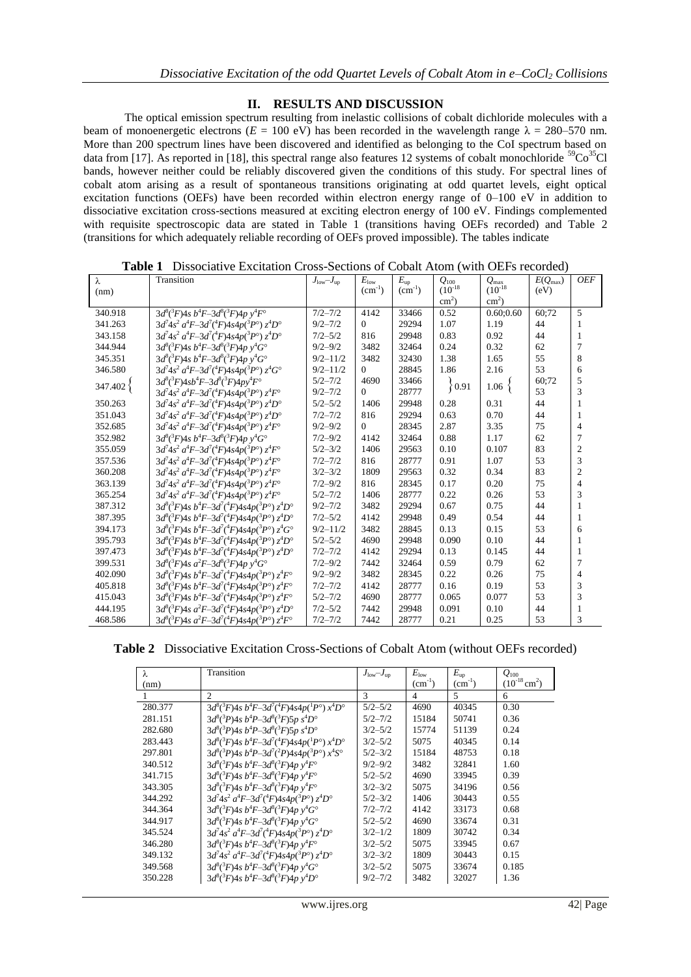## **II. RESULTS AND DISCUSSION**

The optical emission spectrum resulting from inelastic collisions of cobalt dichloride molecules with a beam of monoenergetic electrons ( $E = 100$  eV) has been recorded in the wavelength range  $\lambda = 280-570$  nm. More than 200 spectrum lines have been discovered and identified as belonging to the CoI spectrum based on data from [17]. As reported in [18], this spectral range also features 12 systems of cobalt monochloride  ${}^{59}Co^{35}Cl$ bands, however neither could be reliably discovered given the conditions of this study. For spectral lines of cobalt atom arising as a result of spontaneous transitions originating at odd quartet levels, eight optical excitation functions (OEFs) have been recorded within electron energy range of 0–100 eV in addition to dissociative excitation cross-sections measured at exciting electron energy of 100 eV. Findings complemented with requisite spectroscopic data are stated in Table 1 (transitions having OEFs recorded) and Table 2 (transitions for which adequately reliable recording of OEFs proved impossible). The tables indicate

| $\lambda$ | Transition                                                                       | $J_{\text{low}}$ - $J_{\text{up}}$ | $E_{\rm low}$ | $E_{\rm up}$ | $Q_{100}$       | $Q_{\text{max}}$ | $E(Q_{\text{max}})$ | <b>OEF</b>     |
|-----------|----------------------------------------------------------------------------------|------------------------------------|---------------|--------------|-----------------|------------------|---------------------|----------------|
| (nm)      |                                                                                  |                                    | $(cm^{-1})$   | $(cm^{-1})$  | $(10^{-18}$     | $(10^{-18}$      | (eV)                |                |
|           |                                                                                  |                                    |               |              | $\text{cm}^2$ ) | $\text{cm}^2$ )  |                     |                |
| 340.918   | $3d^{8}({}^{3}F)4s b^{4}F-3d^{8}({}^{3}F)4p y^{4}F^{6}$                          | $7/2 - 7/2$                        | 4142          | 33466        | 0.52            | 0.60:0.60        | 60:72               | 5              |
| 341.263   | $3d^74s^2 a^4F - 3d^7(^4F)4s4p(^3P^{\circ}) z^4D^{\circ}$                        | $9/2 - 7/2$                        | $\Omega$      | 29294        | 1.07            | 1.19             | 44                  | 1              |
| 343.158   | $3d^74s^2 a^4F - 3d^7(^4F)4s4p(^3P^{\circ}) z^4D^{\circ}$                        | $7/2 - 5/2$                        | 816           | 29948        | 0.83            | 0.92             | 44                  | 1              |
| 344.944   | $3d^{8}({}^{3}F)4s b^{4}F-3d^{8}({}^{3}F)4p y^{4}G^{o}$                          | $9/2 - 9/2$                        | 3482          | 32464        | 0.24            | 0.32             | 62                  | $\overline{7}$ |
| 345.351   | $3d^{8}({}^{3}F)4s b^{4}F-3d^{8}({}^{3}F)4p y^{4}G^{o}$                          | $9/2 - 11/2$                       | 3482          | 32430        | 1.38            | 1.65             | 55                  | 8              |
| 346.580   | $3d^7 4s^2 a^4 F - 3d^7 ({}^4F) 4s4p({}^3P^{\circ}) z^4 G^{\circ}$               | $9/2 - 11/2$                       | $\Omega$      | 28845        | 1.86            | 2.16             | 53                  | 6              |
| 347.402}  | $3d^{8}({}^{3}F)4sb^{4}F-3d^{8}({}^{3}F)4py^{4}F^{\circ}$                        | $5/2 - 7/2$                        | 4690          | 33466        | $\{0.91$        | $1.06\;$         | 60:72               | 5              |
|           | $3d^74s^2 a^4F - 3d^7(^4F)4s4p(^3P^{\circ}) z^4F^{\circ}$                        | $9/2 - 7/2$                        | $\Omega$      | 28777        |                 |                  | 53                  | 3              |
| 350.263   | $3d^74s^2 a^4F - 3d^7(^4F)4s4p(^3P^{\circ}) z^4D^{\circ}$                        | $5/2 - 5/2$                        | 1406          | 29948        | 0.28            | 0.31             | 44                  | $\mathbf{1}$   |
| 351.043   | $3d^7 4s^2 a^4 F - 3d^7 ({}^4F) 4s 4p({}^3P^{\circ}) z^4 D^{\circ}$              | $7/2 - 7/2$                        | 816           | 29294        | 0.63            | 0.70             | 44                  | 1              |
| 352.685   | $3d^7 4s^2 a^4 F - 3d^7 ({}^4F) 4s4p({}^3P^{\circ}) z^4 F^{\circ}$               | $9/2 - 9/2$                        | $\Omega$      | 28345        | 2.87            | 3.35             | 75                  | $\overline{4}$ |
| 352.982   | $3d^{8}({}^{3}F)4s b^{4}F-3d^{8}({}^{3}F)4p y^{4}G^{o}$                          | $7/2 - 9/2$                        | 4142          | 32464        | 0.88            | 1.17             | 62                  | $\overline{7}$ |
| 355.059   | $3d^74s^2 a^4F - 3d^7(^4F)4s4p(^3P^{\circ}) z^4F^{\circ}$                        | $5/2 - 3/2$                        | 1406          | 29563        | 0.10            | 0.107            | 83                  | $\overline{2}$ |
| 357.536   | $3d^74s^2 a^4F-3d^7(^4F)4s4p(^3P^{\circ}) z^4F^{\circ}$                          | $7/2 - 7/2$                        | 816           | 28777        | 0.91            | 1.07             | 53                  | 3              |
| 360.208   | $3d^74s^2 a^4F - 3d^7(^4F)4s4p(^3P^{\circ}) z^4F^{\circ}$                        | $3/2 - 3/2$                        | 1809          | 29563        | 0.32            | 0.34             | 83                  | $\overline{2}$ |
| 363.139   | $3d^74s^2 a^4F-3d^7(^4F)4s4p(^3P^{\circ}) z^4F^{\circ}$                          | $7/2 - 9/2$                        | 816           | 28345        | 0.17            | 0.20             | 75                  | $\overline{4}$ |
| 365.254   | $3d^74s^2 a^4F - 3d^7(^4F)4s4p(^3P^{\circ}) z^4F^{\circ}$                        | $5/2 - 7/2$                        | 1406          | 28777        | 0.22            | 0.26             | 53                  | 3              |
| 387.312   | $3d^{8}({}^{3}F)4s b^{4}F-3d^{7}({}^{4}F)4s4p({}^{3}P^{\circ}) z^{4}D^{\circ}$   | $9/2 - 7/2$                        | 3482          | 29294        | 0.67            | 0.75             | 44                  | 1              |
| 387.395   | $3d^{8}({}^{3}F)4s b^{4}F-3d^{7}({}^{4}F)4s4p({}^{3}P^{\circ}) z^{4}D^{\circ}$   | $7/2 - 5/2$                        | 4142          | 29948        | 0.49            | 0.54             | 44                  | $\mathbf{1}$   |
| 394.173   | $3d^{8}({}^{3}F)4s b^{4}F-3d^{7}({}^{4}F)4s4p({}^{3}P^{\circ}) z^{4}G^{\circ}$   | $9/2 - 11/2$                       | 3482          | 28845        | 0.13            | 0.15             | 53                  | 6              |
| 395.793   | $3d^{8}({}^{3}F)4s b^{4}F-3d^{7}({}^{4}F)4s4p({}^{3}P^{\circ}) z^{4}D^{\circ}$   | $5/2 - 5/2$                        | 4690          | 29948        | 0.090           | 0.10             | 44                  | 1              |
| 397.473   | $3d^{8}({}^{3}F)4s b^{4}F-3d^{7}({}^{4}F)4s4p({}^{3}P^{\circ}) z^{4}D^{\circ}$   | $7/2 - 7/2$                        | 4142          | 29294        | 0.13            | 0.145            | 44                  | 1              |
| 399.531   | $3d^{8}({}^{3}F)4s\ a^{2}F-3d^{8}({}^{3}F)4p\ y^{4}G^{o}$                        | $7/2 - 9/2$                        | 7442          | 32464        | 0.59            | 0.79             | 62                  | 7              |
| 402.090   | $3d^{8}({}^{3}F)4s b^{4}F-3d^{7}({}^{4}F)4s4p({}^{3}P^{\circ}) z^{4}F^{\circ}$   | $9/2 - 9/2$                        | 3482          | 28345        | 0.22            | 0.26             | 75                  | $\overline{4}$ |
| 405.818   | $3d^{8}({}^{3}F)4s b^{4}F-3d^{7}({}^{4}F)4s4p({}^{3}P^{\circ}) z^{4}F^{\circ}$   | $7/2 - 7/2$                        | 4142          | 28777        | 0.16            | 0.19             | 53                  | 3              |
| 415.043   | $3d^{8}({}^{3}F)4s b^{4}F-3d^{7}({}^{4}F)4s4p({}^{3}P^{\circ}) z^{4}F^{\circ}$   | $5/2 - 7/2$                        | 4690          | 28777        | 0.065           | 0.077            | 53                  | 3              |
| 444.195   | $3d^{8}({}^{3}F)4s\ a^{2}F-3d^{7}({}^{4}F)4s4p({}^{3}P^{\circ})\ z^{4}D^{\circ}$ | $7/2 - 5/2$                        | 7442          | 29948        | 0.091           | 0.10             | 44                  | 1              |
| 468.586   | $3d^{8}({}^{3}F)4s\ a^{2}F-3d^{7}({}^{4}F)4s4p({}^{3}P^{\circ})\ z^{4}F^{\circ}$ | $7/2 - 7/2$                        | 7442          | 28777        | 0.21            | 0.25             | 53                  | 3              |

**Table 1** Dissociative Excitation Cross-Sections of Cobalt Atom (with OEFs recorded)

|  | <b>Table 2</b> Dissociative Excitation Cross-Sections of Cobalt Atom (without OEFs recorded) |  |  |  |  |  |  |  |  |  |
|--|----------------------------------------------------------------------------------------------|--|--|--|--|--|--|--|--|--|
|--|----------------------------------------------------------------------------------------------|--|--|--|--|--|--|--|--|--|

| λ       | Transition                                                                     | $J_{\text{low}} - J_{\text{up}}$ | $E_{\text{low}}$ | $E_{\rm up}$ | $Q_{100}$                 |
|---------|--------------------------------------------------------------------------------|----------------------------------|------------------|--------------|---------------------------|
| (nm)    |                                                                                |                                  | $(cm^{-1})$      | $(cm^{-1})$  | $(10^{-18} \text{ cm}^2)$ |
|         | $\overline{c}$                                                                 | 3                                | 4                | 5            | 6                         |
| 280.377 | $3d^{8}({}^{3}F)4s b^{4}F-3d^{7}({}^{4}F)4s4p({}^{1}P^{\circ})x^{4}D^{\circ}$  | $5/2 - 5/2$                      | 4690             | 40345        | 0.30                      |
| 281.151 | $3d^{8}({}^{3}P)4s b^{4}P-3d^{8}({}^{3}F)5p s^{4}D^{\circ}$                    | $5/2 - 7/2$                      | 15184            | 50741        | 0.36                      |
| 282.680 | $3d^{8}({}^{3}P)4s b^{4}P-3d^{8}({}^{3}F)5p s^{4}D^{\circ}$                    | $3/2 - 5/2$                      | 15774            | 51139        | 0.24                      |
| 283.443 | $3d^{8}({}^{3}F)4s b^{4}F-3d^{7}({}^{4}F)4s4p({}^{1}P^{\circ}) x^{4}D^{\circ}$ | $3/2 - 5/2$                      | 5075             | 40345        | 0.14                      |
| 297.801 | $3d^{8}({}^{3}P)4s b^{4}P-3d^{7}({}^{2}P)4s4p({}^{3}P^{\circ})x^{4}S^{\circ}$  | $5/2 - 3/2$                      | 15184            | 48753        | 0.18                      |
| 340.512 | $3d^{8}({}^{3}F)4s b^{4}F-3d^{8}({}^{3}F)4p y^{4}F^{6}$                        | $9/2 - 9/2$                      | 3482             | 32841        | 1.60                      |
| 341.715 | $3d^8({}^3F)4s b^4F-3d^8({}^3F)4p v^4F^{\circ}$                                | $5/2 - 5/2$                      | 4690             | 33945        | 0.39                      |
| 343.305 | $3d^8(^3F)4s b^4F-3d^8(^3F)4p y^4F^{\circ}$                                    | $3/2 - 3/2$                      | 5075             | 34196        | 0.56                      |
| 344.292 | $3d^7 4s^2 a^4 F - 3d^7 ({}^4F) 4s 4p({}^3P^{\circ}) z^4 D^{\circ}$            | $5/2 - 3/2$                      | 1406             | 30443        | 0.55                      |
| 344.364 | $3d^{8}({}^{3}F)4s b^{4}F-3d^{8}({}^{3}F)4p v^{4}G^{\circ}$                    | $7/2 - 7/2$                      | 4142             | 33173        | 0.68                      |
| 344.917 | $3d^{8}({}^{3}F)4s b^{4}F-3d^{8}({}^{3}F)4p y^{4}G^{o}$                        | $5/2 - 5/2$                      | 4690             | 33674        | 0.31                      |
| 345.524 | $3d^74s^2 a^4F - 3d^7(^4F)4s4p(^3P^{\circ}) z^4D^{\circ}$                      | $3/2 - 1/2$                      | 1809             | 30742        | 0.34                      |
| 346.280 | $3d^{8}({}^{3}F)4s b^{4}F-3d^{8}({}^{3}F)4p y^{4}F^{6}$                        | $3/2 - 5/2$                      | 5075             | 33945        | 0.67                      |
| 349.132 | $3d^74s^2 a^4F - 3d^7(^4F)4s4p(^3P^{\circ}) z^4D^{\circ}$                      | $3/2 - 3/2$                      | 1809             | 30443        | 0.15                      |
| 349.568 | $3d^{8}({}^{3}F)4s b^{4}F-3d^{8}({}^{3}F)4p y^{4}G^{o}$                        | $3/2 - 5/2$                      | 5075             | 33674        | 0.185                     |
| 350.228 | $3d^{8}({}^{3}F)4s b^{4}F-3d^{8}({}^{3}F)4p v^{4}D^{\circ}$                    | $9/2 - 7/2$                      | 3482             | 32027        | 1.36                      |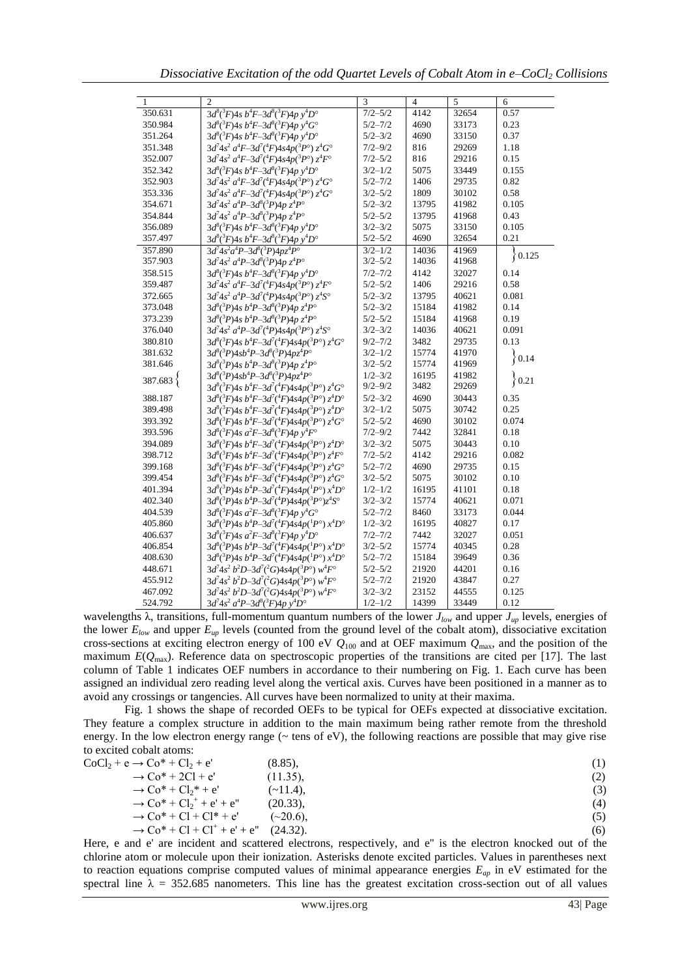*Dissociative Excitation of the odd Quartet Levels of Cobalt Atom in e–CoCl<sup>2</sup> Collisions*

| $\mathbf{1}$ | $\mathfrak{D}$                                                                   | 3           | $\overline{4}$ | 5     | 6        |
|--------------|----------------------------------------------------------------------------------|-------------|----------------|-------|----------|
| 350.631      | $3d^{8}({}^{3}F)4s b^{4}F-3d^{8}({}^{3}F)4p y^{4}D^{\circ}$                      | $7/2 - 5/2$ | 4142           | 32654 | 0.57     |
| 350.984      | $3d^{8}({}^{3}F)4s b^{4}F-3d^{8}({}^{3}F)4p y^{4}G^{6}$                          | $5/2 - 7/2$ | 4690           | 33173 | 0.23     |
| 351.264      | $3d^{8}({}^{3}F)4s b^{4}F-3d^{8}({}^{3}F)4p y^{4}D^{\circ}$                      | $5/2 - 3/2$ | 4690           | 33150 | 0.37     |
| 351.348      | $3d^74s^2 a^4F - 3d^7(^4F)4s4p(^3P^{\circ}) z^4G^{\circ}$                        | $7/2 - 9/2$ | 816            | 29269 | 1.18     |
| 352.007      | $3d^7 4s^2 a^4 F - 3d^7 ({}^4F) 4s4p({}^3P^{\circ}) z^4 F^{\circ}$               | $7/2 - 5/2$ | 816            | 29216 | 0.15     |
| 352.342      | $3d^{8}(^{3}F)4s b^{4}F-3d^{8}(^{3}F)4p y^{4}D^{\circ}$                          | $3/2 - 1/2$ | 5075           | 33449 | 0.155    |
| 352.903      | $3d^74s^2 a^4F - 3d^7(^4F)4s4p(^3P^{\circ}) z^4G^{\circ}$                        | $5/2 - 7/2$ | 1406           | 29735 | 0.82     |
| 353.336      | $3d^7 4s^2 a^4 F - 3d^7 ({}^4F) 4s4p({}^3P^{\circ}) z^4 G^{\circ}$               | $3/2 - 5/2$ | 1809           | 30102 | 0.58     |
| 354.671      | $3d^7 4s^2 a^4 P - 3d^8(^3P) 4p^2 t^4 P^{\circ}$                                 | $5/2 - 3/2$ | 13795          | 41982 | 0.105    |
| 354.844      | $3d^74s^2 a^4P - 3d^8(^3P)4p z^4P^{\circ}$                                       | $5/2 - 5/2$ | 13795          | 41968 | 0.43     |
| 356.089      | $3d^{8}({}^{3}F)4s b^{4}F-3d^{8}({}^{3}F)4p y^{4}D^{\circ}$                      | $3/2 - 3/2$ | 5075           | 33150 | 0.105    |
| 357.497      | $3d^{8}({}^{3}F)4s b^{4}F-3d^{8}({}^{3}F)4p y^{4}D^{\circ}$                      | $5/2 - 5/2$ | 4690           | 32654 | 0.21     |
| 357.890      | $3d^74s^2a^4P-3d^8(^3P)4pz^4P^{\circ}$                                           | $3/2 - 1/2$ | 14036          | 41969 | 0.125    |
| 357.903      | $3d^74s^2 a^4P - 3d^8(^3P)4p z^4P^{\circ}$                                       | $3/2 - 5/2$ | 14036          | 41968 |          |
| 358.515      | $3d^{8}({}^{3}F)4s b^{4}F-3d^{8}({}^{3}F)4p y^{4}D^{\circ}$                      | $7/2 - 7/2$ | 4142           | 32027 | 0.14     |
| 359.487      | $3d^74s^2 a^4F - 3d^7(^4F)4s4p(^3P^{\circ}) z^4F^{\circ}$                        | $5/2 - 5/2$ | 1406           | 29216 | 0.58     |
| 372.665      | $3d^74s^2 a^4P - 3d^7(^4P)4s4p(^3P^{\circ}) z^4S^{\circ}$                        | $5/2 - 3/2$ | 13795          | 40621 | 0.081    |
| 373.048      | $3d^{8}({}^{3}P)4s b^{4}P-3d^{8}({}^{3}P)4p z^{4}P^{\circ}$                      | $5/2 - 3/2$ | 15184          | 41982 | 0.14     |
| 373.239      | $3d^{8}({}^{3}P)4s\ b^{4}P-3d^{8}({}^{3}P)4p\ z^{4}P^{\circ}$                    | $5/2 - 5/2$ | 15184          | 41968 | 0.19     |
| 376.040      | $3d^7 4s^2 a^4 P - 3d^7 ({}^4P) 4s 4p({}^3P^{\circ}) z^4 S^{\circ}$              | $3/2 - 3/2$ | 14036          | 40621 | 0.091    |
| 380.810      | $3d^{8}({}^{3}F)4s b^{4}F-3d^{7}({}^{4}F)4s4p({}^{3}P^{\circ}) z^{4}G^{\circ}$   | $9/2 - 7/2$ | 3482           | 29735 | 0.13     |
| 381.632      | $3d^{8}(^{3}P)4sb^{4}P-3d^{8}(^{3}P)4pz^{4}P^{\circ}$                            | $3/2 - 1/2$ | 15774          | 41970 |          |
| 381.646      | $3d^{8}(^{3}P)4s b^{4}P-3d^{8}(^{3}P)4p z^{4}P^{\circ}$                          | $3/2 - 5/2$ | 15774          | 41969 | 0.14     |
| 387.683}     | $3d^{8}(^{3}P)4sb^{4}P-3d^{8}(^{3}P)4pz^{4}P^{\circ}$                            | $1/2 - 3/2$ | 16195          | 41982 | ${0.21}$ |
|              | $3d^{8}({}^{3}F)4s\ b^{4}F-3d^{7}({}^{4}F)4s4p({}^{3}P^{\circ})\ z^{4}G^{\circ}$ | $9/2 - 9/2$ | 3482           | 29269 |          |
| 388.187      | $3d^{8}({}^{3}F)4s b^{4}F-3d^{7}({}^{4}F)4s4p({}^{3}P^{\circ}) z^{4}D^{\circ}$   | $5/2 - 3/2$ | 4690           | 30443 | 0.35     |
| 389.498      | $3d^{8}({}^{3}F)4s b^{4}F-3d^{7}({}^{4}F)4s4p({}^{3}P^{\circ}) z^{4}D^{\circ}$   | $3/2 - 1/2$ | 5075           | 30742 | 0.25     |
| 393.392      | $3d^{8}({}^{3}F)4s b^{4}F-3d^{7}({}^{4}F)4s4p({}^{3}P^{\circ}) z^{4}G^{\circ}$   | $5/2 - 5/2$ | 4690           | 30102 | 0.074    |
| 393.596      | $3d^{8}({}^{3}F)4s\ a^{2}F-3d^{8}({}^{3}F)4p\ y^{4}F^{6}$                        | $7/2 - 9/2$ | 7442           | 32841 | 0.18     |
| 394.089      | $3d^{8}({}^{3}F)4s b^{4}F-3d^{7}({}^{4}F)4s4p({}^{3}P^{\circ}) z^{4}D^{\circ}$   | $3/2 - 3/2$ | 5075           | 30443 | 0.10     |
| 398.712      | $3d^{8}({}^{3}F)4s b^{4}F-3d^{7}({}^{4}F)4s4p({}^{3}P^{\circ}) z^{4}F^{\circ}$   | $7/2 - 5/2$ | 4142           | 29216 | 0.082    |
| 399.168      | $3d^{8}({}^{3}F)4s b^{4}F-3d^{7}({}^{4}F)4s4p({}^{3}P^{\circ}) z^{4}G^{\circ}$   | $5/2 - 7/2$ | 4690           | 29735 | 0.15     |
| 399.454      | $3d^{8}({}^{3}F)4s b^{4}F-3d^{7}({}^{4}F)4s4p({}^{3}P^{\circ}) z^{4}G^{\circ}$   | $3/2 - 5/2$ | 5075           | 30102 | 0.10     |
| 401.394      | $3d^{8}({}^{3}P)4s b^{4}P-3d^{7}({}^{4}F)4s4p({}^{1}P^{\circ}) x^{4}D^{\circ}$   | $1/2 - 1/2$ | 16195          | 41101 | 0.18     |
| 402.340      | $3d^{8}(^{3}P)4s b^{4}P-3d^{7}(^{4}P)4s4p(^{3}P^{\circ})z^{4}S^{\circ}$          | $3/2 - 3/2$ | 15774          | 40621 | 0.071    |
| 404.539      | $3d^{8}({}^{3}F)4s\ a^{2}F-3d^{8}({}^{3}F)4p\ v^{4}G^{6}$                        | $5/2 - 7/2$ | 8460           | 33173 | 0.044    |
| 405.860      | $3d^{8}({}^{3}P)4s b^{4}P-3d^{7}({}^{4}F)4s4p({}^{1}P^{\circ}) x^{4}D^{\circ}$   | $1/2 - 3/2$ | 16195          | 40827 | 0.17     |
| 406.637      | $3d^{8}({}^{3}F)4s\ a^{2}F-3d^{8}({}^{3}F)4p\ y^{4}D^{\circ}$                    | $7/2 - 7/2$ | 7442           | 32027 | 0.051    |
| 406.854      | $3d^{8}({}^{3}P)4s b^{4}P-3d^{7}({}^{4}F)4s4p({}^{1}P^{\circ}) x^{4}D^{\circ}$   | $3/2 - 5/2$ | 15774          | 40345 | 0.28     |
| 408.630      | $3d^{8}({}^{3}P)4s b^{4}P-3d^{7}({}^{4}F)4s4p({}^{1}P^{\circ}) x^{4}D^{\circ}$   | $5/2 - 7/2$ | 15184          | 39649 | 0.36     |
| 448.671      | $3d^74s^2 b^2D-3d^7(^2G)4s4p(^3P^{\circ})$ $w^4F^{\circ}$                        | $5/2 - 5/2$ | 21920          | 44201 | 0.16     |
| 455.912      | $3d^74s^2 b^2D-3d^7(^2G)4s4p(^3P^{\circ})$ $w^4F^{\circ}$                        | $5/2 - 7/2$ | 21920          | 43847 | 0.27     |
| 467.092      | $3d^74s^2 b^2D-3d^7(^2G)4s4p(^3P^{\circ})$ $w^4F^{\circ}$                        | $3/2 - 3/2$ | 23152          | 44555 | 0.125    |
| 524.792      | $3d^7 4s^2 a^4 P - 3d^8 ({}^3F) 4p y^4 D^{\circ}$                                | $1/2 - 1/2$ | 14399          | 33449 | 0.12     |

wavelengths  $\lambda$ , transitions, full-momentum quantum numbers of the lower  $J_{low}$  and upper  $J_{up}$  levels, energies of the lower  $E_{low}$  and upper  $E_{up}$  levels (counted from the ground level of the cobalt atom), dissociative excitation cross-sections at exciting electron energy of 100 eV  $Q_{100}$  and at OEF maximum  $Q_{\text{max}}$ , and the position of the maximum  $E(Q_{\text{max}})$ . Reference data on spectroscopic properties of the transitions are cited per [17]. The last column of Table 1 indicates OEF numbers in accordance to their numbering on Fig. 1. Each curve has been assigned an individual zero reading level along the vertical axis. Curves have been positioned in a manner as to avoid any crossings or tangencies. All curves have been normalized to unity at their maxima.

Fig. 1 shows the shape of recorded OEFs to be typical for OEFs expected at dissociative excitation. They feature a complex structure in addition to the main maximum being rather remote from the threshold energy. In the low electron energy range ( $\sim$  tens of eV), the following reactions are possible that may give rise to excited cobalt atoms:

| $CoCl2 + e \rightarrow Co* + Cl2 + e'$                                        | $(8.85)$ ,  | (1) |
|-------------------------------------------------------------------------------|-------------|-----|
| $\rightarrow$ Co <sup>*</sup> + 2Cl + e'                                      | (11.35),    | (2) |
| $\rightarrow$ Co <sup>*</sup> + C <sub>l</sub> <sub>2</sub> <sup>*</sup> + e' | $(-11.4)$ . | (3) |
| $\rightarrow$ Co <sup>*</sup> + Cl <sub>2</sub> <sup>+</sup> + e' + e"        | $(20.33)$ , | (4) |
| $\rightarrow$ Co <sup>*</sup> + Cl + Cl <sup>*</sup> + e'                     | $(-20.6)$ . | (5) |
| $\rightarrow$ Co <sup>*</sup> + Cl + Cl <sup>+</sup> + e' + e" (24.32).       |             | (6) |

Here, e and e' are incident and scattered electrons, respectively, and e'' is the electron knocked out of the chlorine atom or molecule upon their ionization. Asterisks denote excited particles. Values in parentheses next to reaction equations comprise computed values of minimal appearance energies *Eap* in eV estimated for the spectral line  $\lambda = 352.685$  nanometers. This line has the greatest excitation cross-section out of all values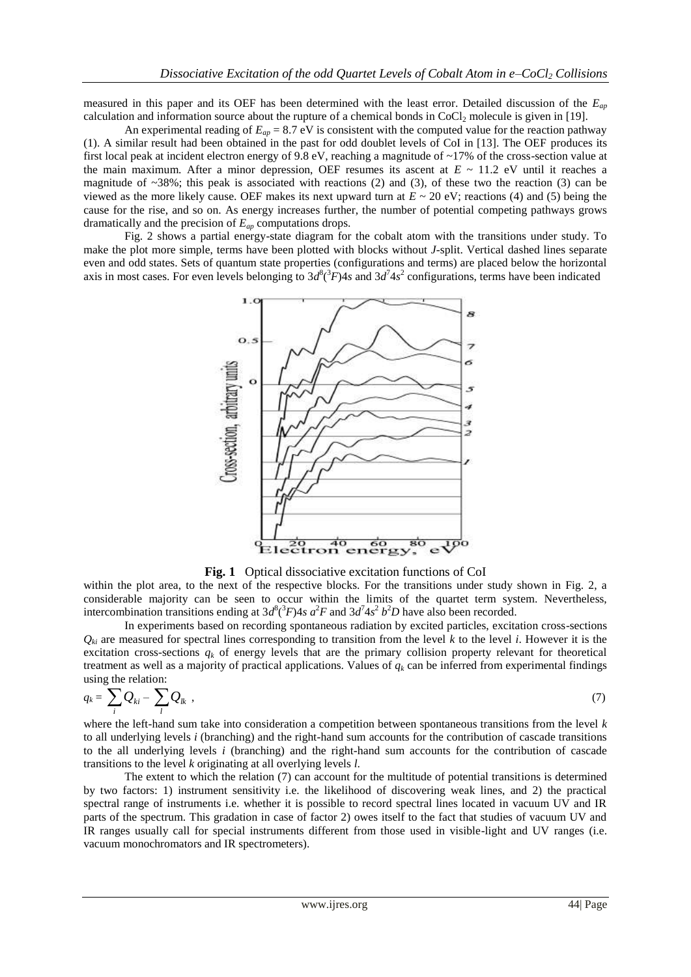measured in this paper and its OEF has been determined with the least error. Detailed discussion of the *Eap* calculation and information source about the rupture of a chemical bonds in  $CoCl<sub>2</sub>$  molecule is given in [19].

An experimental reading of  $E_{ap} = 8.7$  eV is consistent with the computed value for the reaction pathway (1). A similar result had been obtained in the past for odd doublet levels of CoI in [13]. The OEF produces its first local peak at incident electron energy of 9.8 eV, reaching a magnitude of ~17% of the cross-section value at the main maximum. After a minor depression, OEF resumes its ascent at  $E \sim 11.2$  eV until it reaches a magnitude of  $\sim$ 38%; this peak is associated with reactions (2) and (3), of these two the reaction (3) can be viewed as the more likely cause. OEF makes its next upward turn at  $E \sim 20$  eV; reactions (4) and (5) being the cause for the rise, and so on. As energy increases further, the number of potential competing pathways grows dramatically and the precision of *Eap* computations drops.

Fig. 2 shows a partial energy-state diagram for the cobalt atom with the transitions under study. To make the plot more simple, terms have been plotted with blocks without *J*-split. Vertical dashed lines separate even and odd states. Sets of quantum state properties (configurations and terms) are placed below the horizontal axis in most cases. For even levels belonging to  $3d^8(^3F)4s$  and  $3d^74s^2$  configurations, terms have been indicated



**Fig. 1** Optical dissociative excitation functions of CoI

within the plot area, to the next of the respective blocks. For the transitions under study shown in Fig. 2, a considerable majority can be seen to occur within the limits of the quartet term system. Nevertheless, intercombination transitions ending at  $3d^8(^3F)4s$  *a*<sup>2</sup>*F* and  $3d^74s^2$  *b*<sup>2</sup>*D* have also been recorded.

In experiments based on recording spontaneous radiation by excited particles, excitation cross-sections  $Q_{ki}$  are measured for spectral lines corresponding to transition from the level  $k$  to the level  $i$ . However it is the excitation cross-sections  $q_k$  of energy levels that are the primary collision property relevant for theoretical treatment as well as a majority of practical applications. Values of  $q_k$  can be inferred from experimental findings using the relation:

$$
q_k = \sum_i Q_{ki} - \sum_l Q_{lk} \tag{7}
$$

where the left-hand sum take into consideration a competition between spontaneous transitions from the level *k*  to all underlying levels *i* (branching) and the right-hand sum accounts for the contribution of cascade transitions to the all underlying levels *i* (branching) and the right-hand sum accounts for the contribution of cascade transitions to the level *k* originating at all overlying levels *l*.

The extent to which the relation (7) can account for the multitude of potential transitions is determined by two factors: 1) instrument sensitivity i.e. the likelihood of discovering weak lines, and 2) the practical spectral range of instruments i.e. whether it is possible to record spectral lines located in vacuum UV and IR parts of the spectrum. This gradation in case of factor 2) owes itself to the fact that studies of vacuum UV and IR ranges usually call for special instruments different from those used in visible-light and UV ranges (i.e. vacuum monochromators and IR spectrometers).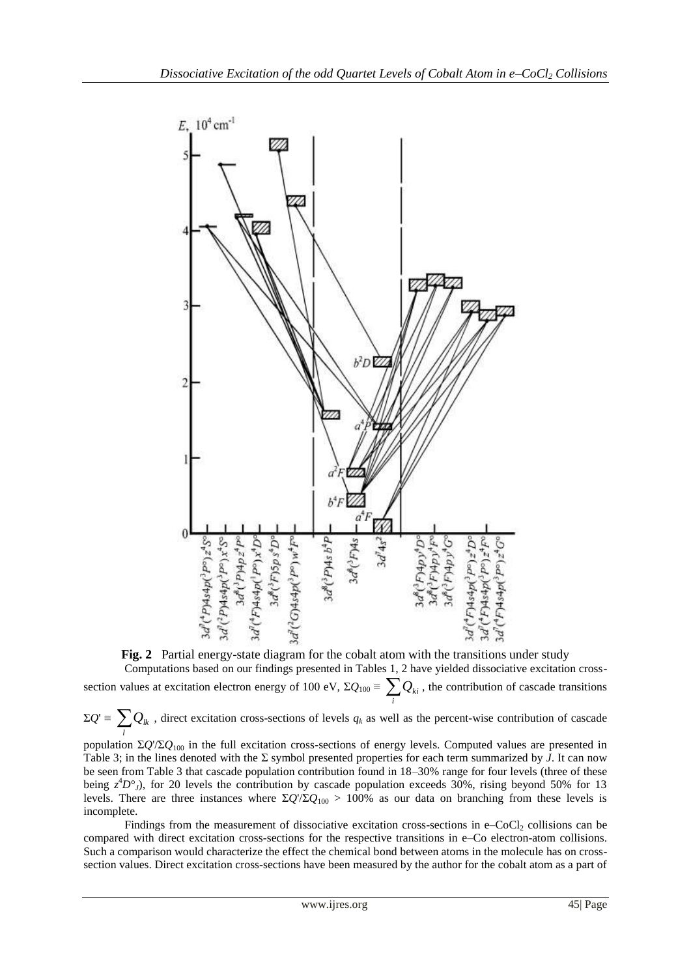

**Fig. 2** Partial energy-state diagram for the cobalt atom with the transitions under study Computations based on our findings presented in Tables 1, 2 have yielded dissociative excitation crosssection values at excitation electron energy of 100 eV,  $\Sigma Q_{100} = \sum_{i}$  $Q_{ki}$ , the contribution of cascade transitions

 $\Sigma Q' \equiv \sum_l$  $Q_k$ , direct excitation cross-sections of levels  $q_k$  as well as the percent-wise contribution of cascade

population Σ*Q*'/Σ*Q*<sup>100</sup> in the full excitation cross-sections of energy levels. Computed values are presented in Table 3; in the lines denoted with the Σ symbol presented properties for each term summarized by *J*. It can now be seen from Table 3 that cascade population contribution found in 18–30% range for four levels (three of these being  $z^4D^{\circ}$ *J*), for 20 levels the contribution by cascade population exceeds 30%, rising beyond 50% for 13 levels. There are three instances where  $\Sigma Q/\Sigma Q_{100} > 100\%$  as our data on branching from these levels is incomplete.

Findings from the measurement of dissociative excitation cross-sections in e–CoCl<sub>2</sub> collisions can be compared with direct excitation cross-sections for the respective transitions in e–Co electron-atom collisions. Such a comparison would characterize the effect the chemical bond between atoms in the molecule has on crosssection values. Direct excitation cross-sections have been measured by the author for the cobalt atom as a part of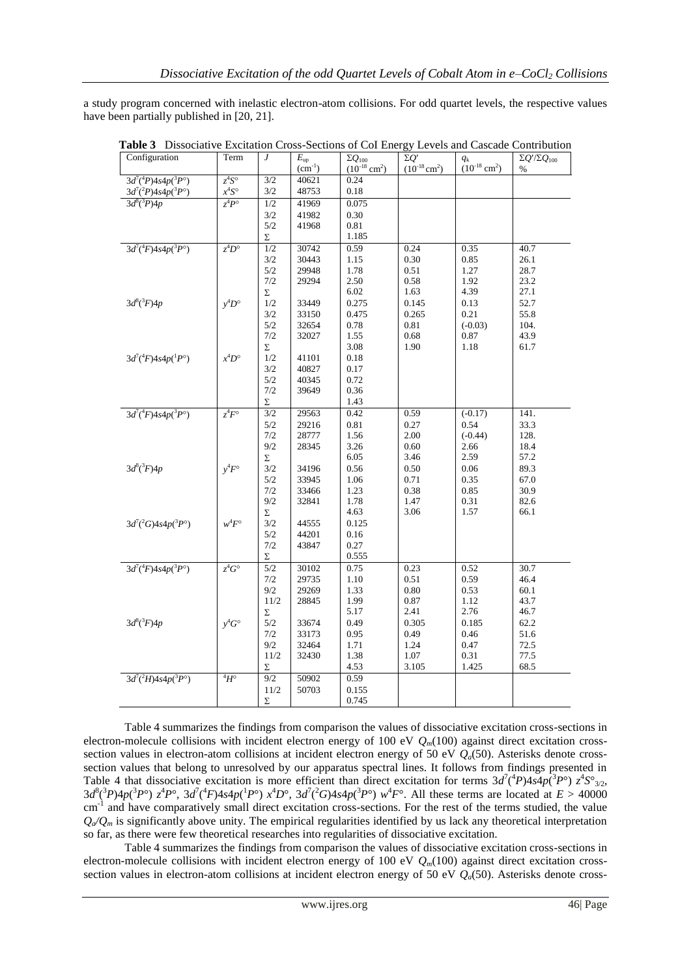a study program concerned with inelastic electron-atom collisions. For odd quartet levels, the respective values have been partially published in [20, 21].

| 1 avrt<br>2 Dissociative Exertation Cross-Sections of Col Enci |                 |                |                             |                                                   |                                          |                                          | Levels and cascade contribution    |
|----------------------------------------------------------------|-----------------|----------------|-----------------------------|---------------------------------------------------|------------------------------------------|------------------------------------------|------------------------------------|
| Configuration                                                  | Term            | $\overline{J}$ | $E_{\rm up}$<br>$(cm^{-1})$ | $\Sigma Q_{100}$<br>$(10^{-18}$ cm <sup>2</sup> ) | $\Sigma O'$<br>$(10^{-18} \text{ cm}^2)$ | $q_{k}$<br>$(10^{-18}$ cm <sup>2</sup> ) | $\Sigma Q'/\Sigma Q_{100}$<br>$\%$ |
| $3d^{7}(^{4}P)4s4p(^{3}P^{\circ})$                             | $z^4S^{\circ}$  | 3/2            | 40621                       | 0.24                                              |                                          |                                          |                                    |
| $3d^{7}(^{2}P)4s4p(^{3}P^{\circ})$                             | $x^4S^{\circ}$  | 3/2            | 48753                       | 0.18                                              |                                          |                                          |                                    |
| $3d^{8}({}^{3}P)4p$                                            | $z^4P^{\circ}$  | 1/2            | 41969                       | 0.075                                             |                                          |                                          |                                    |
|                                                                |                 | 3/2            | 41982                       | 0.30                                              |                                          |                                          |                                    |
|                                                                |                 | 5/2            | 41968                       | 0.81                                              |                                          |                                          |                                    |
|                                                                |                 | Σ              |                             | 1.185                                             |                                          |                                          |                                    |
| $3d^{7}(^{4}F)4s4p(^{3}P^{\circ})$                             | $z^4D^{\circ}$  | 1/2            | 30742                       | 0.59                                              | 0.24                                     | 0.35                                     | 40.7                               |
|                                                                |                 | 3/2            | 30443                       | 1.15                                              | 0.30                                     | 0.85                                     | 26.1                               |
|                                                                |                 | 5/2            | 29948                       | 1.78                                              | 0.51                                     | 1.27                                     | 28.7                               |
|                                                                |                 | 7/2            | 29294                       | 2.50                                              | 0.58                                     | 1.92                                     | 23.2                               |
|                                                                |                 | Σ              |                             | 6.02                                              | 1.63                                     | 4.39                                     | 27.1                               |
| $3d^{8}({}^{3}F)4p$                                            | $v^4D^{\circ}$  | 1/2            | 33449                       | 0.275                                             | 0.145                                    | 0.13                                     | 52.7                               |
|                                                                |                 | 3/2            | 33150                       | 0.475                                             | 0.265                                    | 0.21                                     | 55.8                               |
|                                                                |                 | 5/2            | 32654                       | 0.78                                              | 0.81                                     | $(-0.03)$                                | 104.                               |
|                                                                |                 | 7/2            | 32027                       | 1.55                                              | 0.68                                     | 0.87                                     | 43.9                               |
|                                                                |                 | Σ              |                             | 3.08                                              | 1.90                                     | 1.18                                     | 61.7                               |
| $3d^7(^4F)4s4p(^1P^{\circ})$                                   | $x^4D^{\circ}$  | 1/2            | 41101                       | 0.18                                              |                                          |                                          |                                    |
|                                                                |                 | 3/2            | 40827                       | 0.17                                              |                                          |                                          |                                    |
|                                                                |                 | 5/2            | 40345                       | 0.72                                              |                                          |                                          |                                    |
|                                                                |                 | 7/2            | 39649                       | 0.36                                              |                                          |                                          |                                    |
|                                                                |                 | Σ              |                             | 1.43                                              |                                          |                                          |                                    |
| $3d^{7}(^{4}F)4s4p(^{3}P^{\circ})$                             | $z^4F^{\circ}$  | 3/2            | 29563                       | 0.42                                              | 0.59                                     | $(-0.17)$                                | 141.                               |
|                                                                |                 | 5/2            | 29216                       | 0.81                                              | 0.27                                     | 0.54                                     | 33.3                               |
|                                                                |                 | 7/2            | 28777                       | 1.56                                              | 2.00                                     | $(-0.44)$                                | 128.                               |
|                                                                |                 | 9/2            | 28345                       | 3.26                                              | 0.60                                     | 2.66                                     | 18.4                               |
|                                                                |                 | Σ              |                             | 6.05                                              | 3.46                                     | 2.59                                     | 57.2                               |
| $3d^{8}({}^{3}F)4p$                                            | $v^4F^{\circ}$  | 3/2            | 34196                       | 0.56                                              | 0.50                                     | 0.06                                     | 89.3                               |
|                                                                |                 | 5/2            | 33945                       | 1.06                                              | 0.71                                     | 0.35                                     | 67.0                               |
|                                                                |                 | 7/2            | 33466                       | 1.23                                              | 0.38                                     | 0.85                                     | 30.9                               |
|                                                                |                 | 9/2            | 32841                       | 1.78                                              | 1.47                                     | 0.31                                     | 82.6                               |
|                                                                |                 | Σ              |                             | 4.63                                              | 3.06                                     | 1.57                                     | 66.1                               |
| $3d^{7}(^{2}G)4s4p(^{3}P^{\circ})$                             | $w^4F^{\circ}$  | 3/2            | 44555                       | 0.125                                             |                                          |                                          |                                    |
|                                                                |                 | 5/2            | 44201                       | 0.16                                              |                                          |                                          |                                    |
|                                                                |                 | 7/2            | 43847                       | 0.27                                              |                                          |                                          |                                    |
|                                                                |                 | Σ              |                             | 0.555                                             |                                          |                                          |                                    |
| $3d^7(^4F)4s4p(^3P^{\circ})$                                   | $z^4G^{\circ}$  | 5/2            | 30102                       | 0.75                                              | 0.23                                     | 0.52                                     | 30.7                               |
|                                                                |                 | 7/2            | 29735                       | 1.10                                              | 0.51                                     | 0.59                                     | 46.4                               |
|                                                                |                 | 9/2            | 29269                       | 1.33                                              | 0.80                                     | 0.53                                     | 60.1                               |
|                                                                |                 | 11/2           | 28845                       | 1.99                                              | 0.87                                     | 1.12                                     | 43.7                               |
|                                                                |                 | Σ              |                             | 5.17                                              | 2.41                                     | 2.76                                     | 46.7                               |
| $3d^{8}({}^{3}F)4p$                                            | $y^4G^{\circ}$  | 5/2            | 33674                       | 0.49                                              | 0.305                                    | 0.185                                    | 62.2                               |
|                                                                |                 |                |                             |                                                   |                                          |                                          |                                    |
|                                                                |                 | 7/2<br>9/2     | 33173                       | 0.95                                              | 0.49<br>1.24                             | 0.46                                     | 51.6                               |
|                                                                |                 |                | 32464                       | 1.71                                              |                                          | 0.47                                     | 72.5                               |
|                                                                |                 | 11/2           | 32430                       | 1.38<br>4.53                                      | 1.07<br>3.105                            | 0.31<br>1.425                            | 77.5<br>68.5                       |
|                                                                |                 | Σ              |                             |                                                   |                                          |                                          |                                    |
| $3d^{7}(^{2}H)4s4p(^{3}P^{\circ})$                             | $^{4}H^{\circ}$ | 9/2            | 50902                       | 0.59                                              |                                          |                                          |                                    |
|                                                                |                 | 11/2           | 50703                       | 0.155                                             |                                          |                                          |                                    |
|                                                                |                 | Σ              |                             | 0.745                                             |                                          |                                          |                                    |
|                                                                |                 |                |                             |                                                   |                                          |                                          |                                    |

**Table 3** Dissociative Excitation Cross-Sections of CoI Energy Levels and Cascade Contribution

Table 4 summarizes the findings from comparison the values of dissociative excitation cross-sections in electron-molecule collisions with incident electron energy of 100 eV  $Q_m(100)$  against direct excitation crosssection values in electron-atom collisions at incident electron energy of 50 eV  $Q<sub>a</sub>(50)$ . Asterisks denote crosssection values that belong to unresolved by our apparatus spectral lines. It follows from findings presented in Table 4 that dissociative excitation is more efficient than direct excitation for terms  $3d^7(^4P)4s4p(^3P^{\circ}) z^4S^{\circ}_{3/2}$ ,  $3d^8(^3P)4p(^3P^{\circ}) z^4P^{\circ}$ ,  $3d^7(^4F)4s4p(^1P^{\circ}) x^4D^{\circ}$ ,  $3d^7(^2G)4s4p(^3P^{\circ}) w^4F^{\circ}$ . All these terms are located at  $E > 40000$ cm<sup>-1</sup> and have comparatively small direct excitation cross-sections. For the rest of the terms studied, the value  $Q_a/Q_m$  is significantly above unity. The empirical regularities identified by us lack any theoretical interpretation so far, as there were few theoretical researches into regularities of dissociative excitation.

Table 4 summarizes the findings from comparison the values of dissociative excitation cross-sections in electron-molecule collisions with incident electron energy of 100 eV  $Q_m(100)$  against direct excitation crosssection values in electron-atom collisions at incident electron energy of 50 eV *Qa*(50). Asterisks denote cross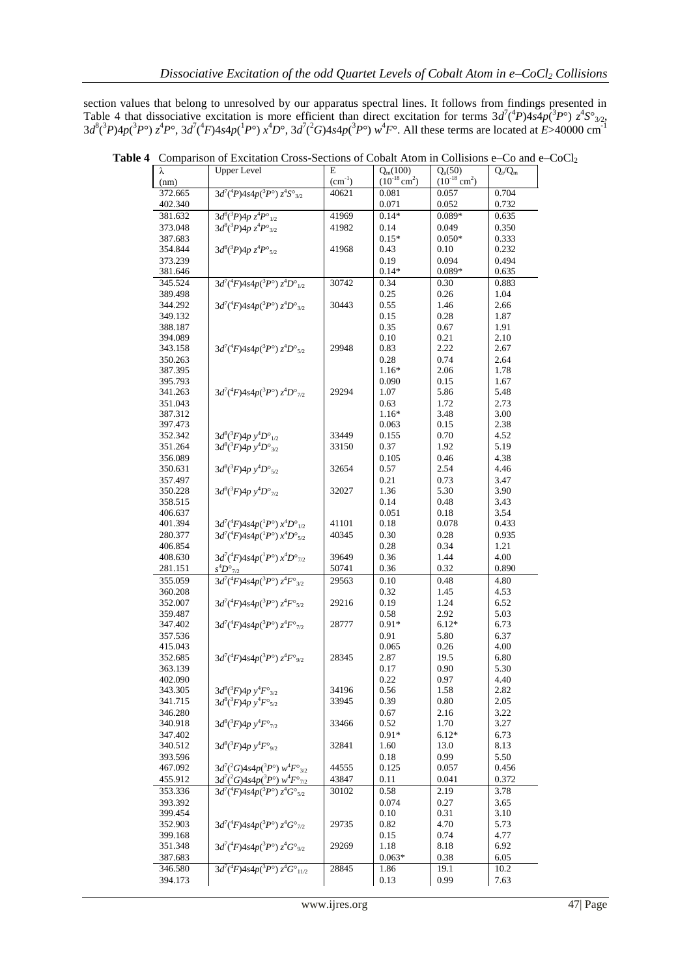section values that belong to unresolved by our apparatus spectral lines. It follows from findings presented in Table 4 that dissociative excitation is more efficient than direct excitation for terms  $3d^7(^4P)4s^4p(^3P^{\circ}) z^4S^{\circ}_{3/2}$ ,  $3d^8(^3P)4p(^3P^{\circ}) z^4P^{\circ}$ ,  $3d^7(^4F)4s4p(^1P^{\circ}) x^4D^{\circ}$ ,  $3d^7(^2G)4s4p(^3P^{\circ}) w^4F^{\circ}$ . All these terms are located at  $E > 40000 \text{ cm}^{-1}$ 

| λ                  | <b>Upper Level</b>                                                      | Е           | $Q_m(100)$                | $Q_{a}(50)$                   | $Q_a/Q_m$     |
|--------------------|-------------------------------------------------------------------------|-------------|---------------------------|-------------------------------|---------------|
| (nm)               |                                                                         | $(cm^{-1})$ | $(10^{-18} \text{ cm}^2)$ | $(10^{-18}$ cm <sup>2</sup> ) |               |
| 372.665            | $3d^7(^4P)4s4p(^3P^{\circ}) z^4S^{\circ}_{3/2}$                         | 40621       | 0.081                     | 0.057                         | 0.704         |
| 402.340            |                                                                         |             | 0.071                     | 0.052                         | 0.732         |
| 381.632            | $3d^8(^3P)4p z^4P^{\circ}$ <sub>1/2</sub>                               | 41969       | $0.14*$                   | $0.089*$                      | 0.635         |
| 373.048            | $3d^8(^3P)4p z^4P^{\circ}_{3/2}$                                        | 41982       | 0.14                      | 0.049                         | 0.350         |
| 387.683            |                                                                         |             | $0.15*$                   | $0.050*$                      | 0.333         |
| 354.844            | $3d^8(^3P)4p z^4P^{\circ}_{5/2}$                                        | 41968       | 0.43                      | 0.10                          | 0.232         |
| 373.239            |                                                                         |             | 0.19                      | 0.094                         | 0.494         |
| 381.646            |                                                                         |             | $0.14*$                   | $0.089*$                      | 0.635         |
| 345.524            | $3d^7$ <sup>(4</sup> F)4s4p( <sup>3</sup> P°) $z^4$ D° <sub>1/2</sub>   | 30742       | 0.34                      | 0.30                          | 0.883         |
|                    |                                                                         |             | 0.25                      | 0.26                          | 1.04          |
| 389.498            |                                                                         |             |                           |                               |               |
| 344.292            | $3d^7(^4F)4s4p(^3P^{\circ}) z^4D^{\circ}_{3/2}$                         | 30443       | 0.55                      | 1.46                          | 2.66          |
| 349.132            |                                                                         |             | 0.15                      | 0.28                          | 1.87          |
| 388.187            |                                                                         |             | 0.35                      | 0.67                          | 1.91          |
| 394.089            |                                                                         |             | 0.10                      | 0.21                          | 2.10          |
| 343.158            | $3d^7(^4F)4s4p(^3P^{\circ}) z^4D^{\circ}_{5/2}$                         | 29948       | 0.83                      | 2.22                          | 2.67          |
| 350.263            |                                                                         |             | 0.28                      | 0.74                          | 2.64          |
| 387.395            |                                                                         |             | $1.16*$                   | 2.06                          | 1.78          |
| 395.793            |                                                                         |             | 0.090                     | 0.15                          | 1.67          |
| 341.263            | $3d^7(^4F)4s4p(^3P^{\circ}) z^4D^{\circ}_{7/2}$                         | 29294       | 1.07                      | 5.86                          | 5.48          |
| 351.043            |                                                                         |             | 0.63                      | 1.72                          | 2.73          |
| 387.312            |                                                                         |             | $1.16*$                   | 3.48                          | 3.00          |
| 397.473            |                                                                         |             | 0.063                     | 0.15                          | 2.38          |
| 352.342            | $3d^8(^3F)4p y^4D^{\circ}_{1/2}$                                        | 33449       | 0.155                     | 0.70                          | 4.52          |
| 351.264            | $3d^8(^3F)4p y^4D^{\circ}_{3/2}$                                        | 33150       | 0.37                      | 1.92                          | 5.19          |
| 356.089            |                                                                         |             | 0.105                     | 0.46                          | 4.38          |
| 350.631            | $3d^8(^3F)4p y^4D^{\circ}_{5/2}$                                        | 32654       | 0.57                      | 2.54                          | 4.46          |
| 357.497            |                                                                         |             | 0.21                      | 0.73                          | 3.47          |
| 350.228            | $3d^8(^3F)4p y^4D^{\circ}_{7/2}$                                        | 32027       | 1.36                      | 5.30                          | 3.90          |
| 358.515            |                                                                         |             | 0.14                      | 0.48                          | 3.43          |
| 406.637            |                                                                         |             | 0.051                     | 0.18                          | 3.54          |
| 401.394            | $3d^7(^4F)4s4p(^1P^{\circ}) x^4D^{\circ}_{1/2}$                         | 41101       | 0.18                      | 0.078                         | 0.433         |
| 280.377            | $3d^7(^4F)4s4p(^1P^{\circ}) x^4D^{\circ}_{5/2}$                         | 40345       | 0.30                      | 0.28                          | 0.935         |
| 406.854            |                                                                         |             | 0.28                      | 0.34                          | 1.21          |
| 408.630            | $3d^7(^4F)4s4p(^1P^{\circ}) x^4D^{\circ}_{7/2}$                         | 39649       | 0.36                      | 1.44                          | 4.00          |
| 281.151            | $s^4D^{\circ}_{1/2}$                                                    | 50741       | 0.36                      | 0.32                          | 0.890         |
| 355.059            | $3d^7(^4F)4s4p(^3P^{\circ}) z^4F^{\circ}_{3/2}$                         | 29563       | 0.10                      | 0.48                          | 4.80          |
| 360.208            |                                                                         |             | 0.32                      | 1.45                          | 4.53          |
| 352.007            | $3d^7(^4F)4s4p(^3P^{\circ}) z^4F^{\circ}_{5/2}$                         | 29216       | 0.19                      | 1.24                          | 6.52          |
| 359.487            |                                                                         |             | 0.58                      | 2.92                          | 5.03          |
| 347.402            | $3d^7(^4F)4s4p(^3P^{\circ}) z^4F^{\circ}_{7/2}$                         | 28777       | $0.91*$                   | $6.12*$                       | 6.73          |
| 357.536            |                                                                         |             | 0.91                      | 5.80                          | 6.37          |
| 415.043            |                                                                         |             | 0.065                     | 0.26                          | 4.00          |
| 352.685            | $3d^7(^4F)4s4p(^3P^{\circ}) z^4F^{\circ}_{9/2}$                         | 28345       | 2.87                      | 19.5                          | 6.80          |
| 363.139            |                                                                         |             | 0.17                      | 0.90                          | 5.30          |
| 402.090            |                                                                         |             | 0.22                      | 0.97                          | 4.40          |
| 343.305            | $3d^8(^3F)4p y^4F^{\circ}_{3/2}$                                        | 34196       | 0.56                      | 1.58                          | 2.82          |
| 341.715            | $3d^8(^3F)4p y^4F^{\circ}_{5/2}$                                        | 33945       | 0.39                      | 0.80                          | 2.05          |
| 346.280            |                                                                         |             | 0.67                      | 2.16                          | 3.22          |
| 340.918            | $3d^8(^3F)4p y^4F^{\circ}_{7/2}$                                        | 33466       | 0.52                      | 1.70                          | 3.27          |
| 347.402            |                                                                         |             | $0.91*$                   | $6.12*$                       | 6.73          |
| 340.512            | $3d^8(^3F)4p y^4F^{\circ}_{9/2}$                                        | 32841       | 1.60                      | 13.0                          | 8.13          |
|                    |                                                                         |             |                           |                               |               |
| 393.596<br>467.092 | $3d^7({}^2G)4s4p({}^3P^{\circ})w^4F^{\circ}_{3/2}$                      | 44555       | 0.18<br>0.125             | 0.99<br>0.057                 | 5.50<br>0.456 |
|                    |                                                                         |             |                           |                               | 0.372         |
| 455.912            | $3d^7(^2G)4s4p(^3P^{\circ})$ $w^4F^{\circ}_{7/2}$                       | 43847       | 0.11                      | 0.041                         |               |
| 353.336            | $\frac{3d^7(^4F)}{3d^7F^9}$ 4s4p( <sup>3</sup> P°) $z^4G^{\circ}_{5/2}$ | 30102       | 0.58                      | 2.19                          | 3.78          |
| 393.392            |                                                                         |             | 0.074                     | 0.27                          | 3.65          |
| 399.454            |                                                                         |             | 0.10                      | 0.31                          | 3.10          |
| 352.903            | $3d^7(^4F)4s4p(^3P^{\circ}) z^4G^{\circ}_{7/2}$                         | 29735       | 0.82                      | 4.70                          | 5.73          |
| 399.168            |                                                                         |             | 0.15                      | 0.74                          | 4.77          |
| 351.348            | $3d^7(^4F)4s4p(^3P^{\circ})\ z^4G^{\circ}_{\ 9/2}$                      | 29269       | 1.18                      | 8.18                          | 6.92          |
| 387.683            |                                                                         |             | $0.063*$                  | 0.38                          | 6.05          |
| 346.580            | $3d^7(^4F)4s4p(^3P^{\circ}) z^4G^{\circ}_{11/2}$                        | 28845       | 1.86                      | 19.1                          | 10.2          |
| 394.173            |                                                                         |             | 0.13                      | 0.99                          | 7.63          |

Table 4 Comparison of Excitation Cross-Sections of Cobalt Atom in Collisions e–Co and e–CoCl<sub>2</sub>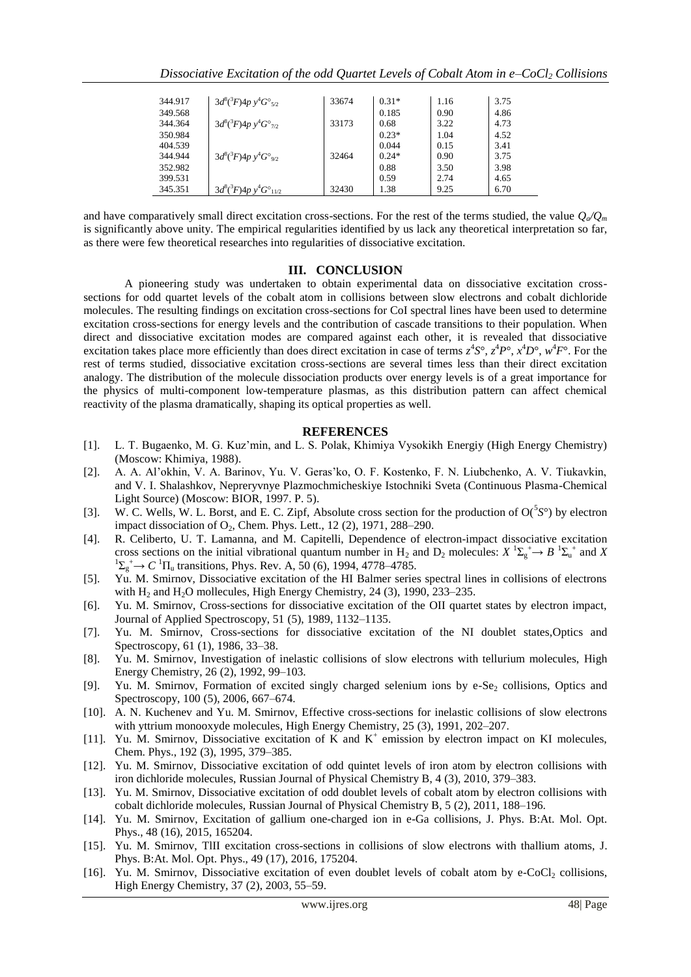| 344.917            | $3d^8(^3F)4p y^4G^{\circ}_{5/2}$     | 33674 | $0.31*$      | 1.16         | 3.75         |
|--------------------|--------------------------------------|-------|--------------|--------------|--------------|
| 349.568            |                                      |       | 0.185        | 0.90         | 4.86         |
| 344.364            | $3d^8(^3F)4p y^4 G^{\circ}_{7/2}$    | 33173 | 0.68         | 3.22         | 4.73         |
| 350.984            |                                      |       | $0.23*$      | 1.04         | 4.52         |
| 404.539            |                                      |       | 0.044        | 0.15         | 3.41         |
| 344.944            | $3d^8(^3F)4p y^4G^{\circ}_{9/2}$     | 32464 | $0.24*$      | 0.90         | 3.75         |
| 352.982<br>399.531 |                                      |       | 0.88<br>0.59 | 3.50<br>2.74 | 3.98         |
| 345.351            | $3d^8(^3F)4p y^4 G^{\circ}{}_{11/2}$ | 32430 | 1.38         | 9.25         | 4.65<br>6.70 |
|                    |                                      |       |              |              |              |

and have comparatively small direct excitation cross-sections. For the rest of the terms studied, the value  $Q_a/Q_m$ is significantly above unity. The empirical regularities identified by us lack any theoretical interpretation so far, as there were few theoretical researches into regularities of dissociative excitation.

## **III. CONCLUSION**

A pioneering study was undertaken to obtain experimental data on dissociative excitation crosssections for odd quartet levels of the cobalt atom in collisions between slow electrons and cobalt dichloride molecules. The resulting findings on excitation cross-sections for CoI spectral lines have been used to determine excitation cross-sections for energy levels and the contribution of cascade transitions to their population. When direct and dissociative excitation modes are compared against each other, it is revealed that dissociative excitation takes place more efficiently than does direct excitation in case of terms  $z^4S^{\circ}$ ,  $z^4P^{\circ}$ ,  $x^4D^{\circ}$ ,  $w^4F^{\circ}$ . For the rest of terms studied, dissociative excitation cross-sections are several times less than their direct excitation analogy. The distribution of the molecule dissociation products over energy levels is of a great importance for the physics of multi-component low-temperature plasmas, as this distribution pattern can affect chemical reactivity of the plasma dramatically, shaping its optical properties as well.

#### **REFERENCES**

- [1]. L. T. Bugaenko, M. G. Kuz'min, and L. S. Polak, Khimiya Vysokikh Energiy (High Energy Chemistry) (Moscow: Khimiya, 1988).
- [2]. A. A. Al'okhin, V. A. Barinov, Yu. V. Geras'ko, O. F. Kostenko, F. N. Liubchenko, A. V. Tiukavkin, and V. I. Shalashkov, Nepreryvnye Plazmochmicheskiye Istochniki Sveta (Continuous Plasma-Chemical Light Source) (Moscow: BIOR, 1997. P. 5).
- [3]. W. C. Wells, W. L. Borst, and E. C. Zipf, Absolute cross section for the production of O(<sup>5</sup> *S*°) by electron impact dissociation of O<sub>2</sub>, Chem. Phys. Lett., 12 (2), 1971, 288-290.
- [4]. R. Celiberto, U. T. Lamanna, and M. Capitelli, Dependence of electron-impact dissociative excitation cross sections on the initial vibrational quantum number in H<sub>2</sub> and D<sub>2</sub> molecules:  $X \stackrel{1}{\rightarrow} \Sigma_g^+ \rightarrow B \stackrel{1}{\rightarrow} \Sigma_u^+$  and X  ${}^{1}\Sigma_{g}^{+}$   $\rightarrow$  *C*  ${}^{1}\Pi_{u}$  transitions, Phys. Rev. A, 50 (6), 1994, 4778–4785.
- [5]. Yu. M. Smirnov, Dissociative excitation of the HI Balmer series spectral lines in collisions of electrons with  $H_2$  and  $H_2O$  mollecules, High Energy Chemistry, 24 (3), 1990, 233–235.
- [6]. Yu. M. Smirnov, Cross-sections for dissociative excitation of the OII quartet states by electron impact, Journal of Applied Spectroscopy, 51 (5), 1989, 1132–1135.
- [7]. Yu. M. Smirnov, Cross-sections for dissociative excitation of the NI doublet states,Optics and Spectroscopy, 61 (1), 1986, 33–38.
- [8]. Yu. M. Smirnov, Investigation of inelastic collisions of slow electrons with tellurium molecules, High Energy Chemistry, 26 (2), 1992, 99–103.
- [9]. Yu. M. Smirnov, Formation of excited singly charged selenium ions by e-Se<sub>2</sub> collisions, Optics and Spectroscopy, 100 (5), 2006, 667–674.
- [10]. A. N. Kuchenev and Yu. M. Smirnov, Effective cross-sections for inelastic collisions of slow electrons with yttrium monooxyde molecules, High Energy Chemistry, 25 (3), 1991, 202–207.
- [11]. Yu. M. Smirnov, Dissociative excitation of K and K<sup>+</sup> emission by electron impact on KI molecules, Chem. Phys., 192 (3), 1995, 379–385.
- [12]. Yu. M. Smirnov, Dissociative excitation of odd quintet levels of iron atom by electron collisions with iron dichloride molecules, Russian Journal of Physical Chemistry B, 4 (3), 2010, 379–383.
- [13]. Yu. M. Smirnov, Dissociative excitation of odd doublet levels of cobalt atom by electron collisions with cobalt dichloride molecules, Russian Journal of Physical Chemistry B, 5 (2), 2011, 188–196.
- [14]. Yu. M. Smirnov, Excitation of gallium one-charged ion in e-Ga collisions, J. Phys. B:At. Mol. Opt. Phys., 48 (16), 2015, 165204.
- [15]. Yu. M. Smirnov, TlII excitation cross-sections in collisions of slow electrons with thallium atoms, J. Phys. B:At. Mol. Opt. Phys., 49 (17), 2016, 175204.
- [16]. Yu. M. Smirnov, Dissociative excitation of even doublet levels of cobalt atom by e-CoCl<sub>2</sub> collisions, High Energy Chemistry, 37 (2), 2003, 55–59.